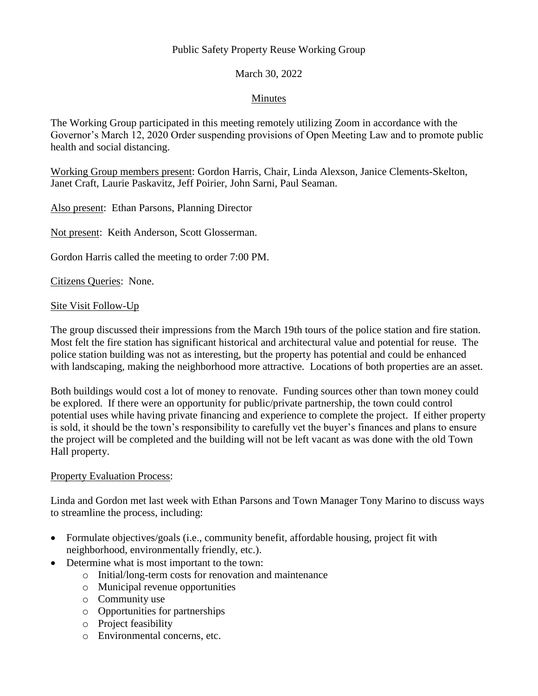## Public Safety Property Reuse Working Group

## March 30, 2022

## Minutes

The Working Group participated in this meeting remotely utilizing Zoom in accordance with the Governor's March 12, 2020 Order suspending provisions of Open Meeting Law and to promote public health and social distancing.

Working Group members present: Gordon Harris, Chair, Linda Alexson, Janice Clements-Skelton, Janet Craft, Laurie Paskavitz, Jeff Poirier, John Sarni, Paul Seaman.

Also present: Ethan Parsons, Planning Director

Not present: Keith Anderson, Scott Glosserman.

Gordon Harris called the meeting to order 7:00 PM.

Citizens Queries: None.

#### Site Visit Follow-Up

The group discussed their impressions from the March 19th tours of the police station and fire station. Most felt the fire station has significant historical and architectural value and potential for reuse. The police station building was not as interesting, but the property has potential and could be enhanced with landscaping, making the neighborhood more attractive. Locations of both properties are an asset.

Both buildings would cost a lot of money to renovate. Funding sources other than town money could be explored. If there were an opportunity for public/private partnership, the town could control potential uses while having private financing and experience to complete the project. If either property is sold, it should be the town's responsibility to carefully vet the buyer's finances and plans to ensure the project will be completed and the building will not be left vacant as was done with the old Town Hall property.

### Property Evaluation Process:

Linda and Gordon met last week with Ethan Parsons and Town Manager Tony Marino to discuss ways to streamline the process, including:

- Formulate objectives/goals (i.e., community benefit, affordable housing, project fit with neighborhood, environmentally friendly, etc.).
- Determine what is most important to the town:
	- o Initial/long-term costs for renovation and maintenance
	- o Municipal revenue opportunities
	- o Community use
	- o Opportunities for partnerships
	- o Project feasibility
	- o Environmental concerns, etc.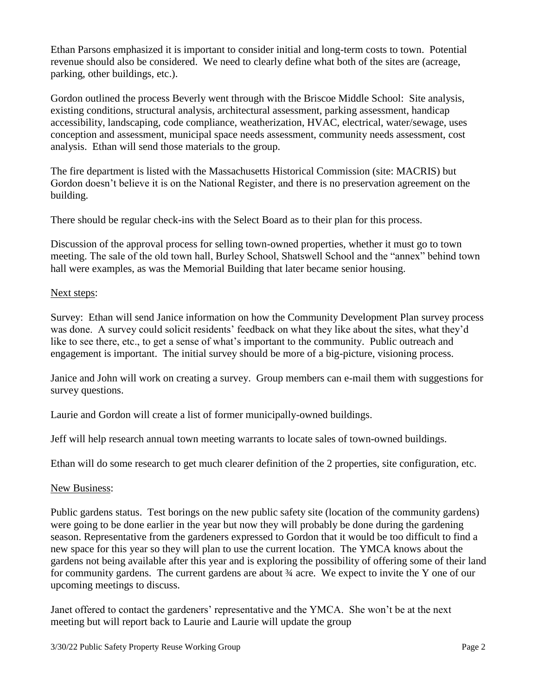Ethan Parsons emphasized it is important to consider initial and long-term costs to town. Potential revenue should also be considered. We need to clearly define what both of the sites are (acreage, parking, other buildings, etc.).

Gordon outlined the process Beverly went through with the Briscoe Middle School: Site analysis, existing conditions, structural analysis, architectural assessment, parking assessment, handicap accessibility, landscaping, code compliance, weatherization, HVAC, electrical, water/sewage, uses conception and assessment, municipal space needs assessment, community needs assessment, cost analysis. Ethan will send those materials to the group.

The fire department is listed with the Massachusetts Historical Commission (site: MACRIS) but Gordon doesn't believe it is on the National Register, and there is no preservation agreement on the building.

There should be regular check-ins with the Select Board as to their plan for this process.

Discussion of the approval process for selling town-owned properties, whether it must go to town meeting. The sale of the old town hall, Burley School, Shatswell School and the "annex" behind town hall were examples, as was the Memorial Building that later became senior housing.

### Next steps:

Survey: Ethan will send Janice information on how the Community Development Plan survey process was done. A survey could solicit residents' feedback on what they like about the sites, what they'd like to see there, etc., to get a sense of what's important to the community. Public outreach and engagement is important. The initial survey should be more of a big-picture, visioning process.

Janice and John will work on creating a survey. Group members can e-mail them with suggestions for survey questions.

Laurie and Gordon will create a list of former municipally-owned buildings.

Jeff will help research annual town meeting warrants to locate sales of town-owned buildings.

Ethan will do some research to get much clearer definition of the 2 properties, site configuration, etc.

### New Business:

Public gardens status. Test borings on the new public safety site (location of the community gardens) were going to be done earlier in the year but now they will probably be done during the gardening season. Representative from the gardeners expressed to Gordon that it would be too difficult to find a new space for this year so they will plan to use the current location. The YMCA knows about the gardens not being available after this year and is exploring the possibility of offering some of their land for community gardens. The current gardens are about  $\frac{3}{4}$  acre. We expect to invite the Y one of our upcoming meetings to discuss.

Janet offered to contact the gardeners' representative and the YMCA. She won't be at the next meeting but will report back to Laurie and Laurie will update the group